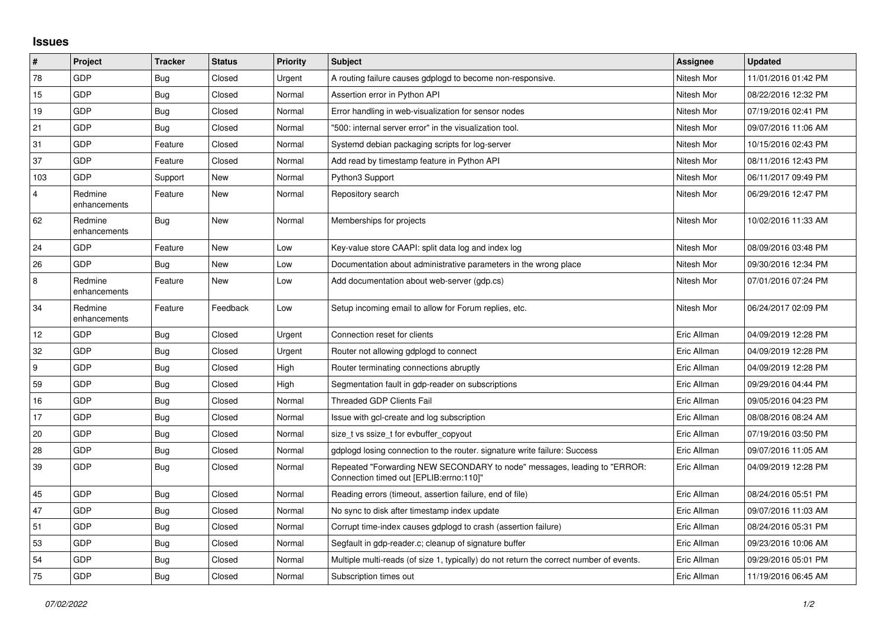## **Issues**

| $\pmb{\#}$              | Project                 | <b>Tracker</b> | <b>Status</b> | <b>Priority</b> | <b>Subject</b>                                                                                                      | Assignee    | <b>Updated</b>      |
|-------------------------|-------------------------|----------------|---------------|-----------------|---------------------------------------------------------------------------------------------------------------------|-------------|---------------------|
| 78                      | GDP                     | Bug            | Closed        | Urgent          | A routing failure causes gdplogd to become non-responsive.                                                          | Nitesh Mor  | 11/01/2016 01:42 PM |
| 15                      | GDP                     | Bug            | Closed        | Normal          | Assertion error in Python API                                                                                       | Nitesh Mor  | 08/22/2016 12:32 PM |
| 19                      | <b>GDP</b>              | Bug            | Closed        | Normal          | Error handling in web-visualization for sensor nodes                                                                | Nitesh Mor  | 07/19/2016 02:41 PM |
| 21                      | GDP                     | <b>Bug</b>     | Closed        | Normal          | "500: internal server error" in the visualization tool.                                                             | Nitesh Mor  | 09/07/2016 11:06 AM |
| 31                      | <b>GDP</b>              | Feature        | Closed        | Normal          | Systemd debian packaging scripts for log-server                                                                     | Nitesh Mor  | 10/15/2016 02:43 PM |
| 37                      | <b>GDP</b>              | Feature        | Closed        | Normal          | Add read by timestamp feature in Python API                                                                         | Nitesh Mor  | 08/11/2016 12:43 PM |
| 103                     | GDP                     | Support        | New           | Normal          | Python3 Support                                                                                                     | Nitesh Mor  | 06/11/2017 09:49 PM |
| $\overline{\mathbf{4}}$ | Redmine<br>enhancements | Feature        | New           | Normal          | Repository search                                                                                                   | Nitesh Mor  | 06/29/2016 12:47 PM |
| 62                      | Redmine<br>enhancements | Bug            | New           | Normal          | Memberships for projects                                                                                            | Nitesh Mor  | 10/02/2016 11:33 AM |
| 24                      | GDP                     | Feature        | <b>New</b>    | Low             | Key-value store CAAPI: split data log and index log                                                                 | Nitesh Mor  | 08/09/2016 03:48 PM |
| 26                      | <b>GDP</b>              | <b>Bug</b>     | New           | Low             | Documentation about administrative parameters in the wrong place                                                    | Nitesh Mor  | 09/30/2016 12:34 PM |
| 8                       | Redmine<br>enhancements | Feature        | New           | Low             | Add documentation about web-server (gdp.cs)                                                                         | Nitesh Mor  | 07/01/2016 07:24 PM |
| 34                      | Redmine<br>enhancements | Feature        | Feedback      | Low             | Setup incoming email to allow for Forum replies, etc.                                                               | Nitesh Mor  | 06/24/2017 02:09 PM |
| 12                      | <b>GDP</b>              | Bug            | Closed        | Urgent          | Connection reset for clients                                                                                        | Eric Allman | 04/09/2019 12:28 PM |
| 32                      | GDP                     | Bug            | Closed        | Urgent          | Router not allowing gdplogd to connect                                                                              | Eric Allman | 04/09/2019 12:28 PM |
| 9                       | GDP                     | Bug            | Closed        | High            | Router terminating connections abruptly                                                                             | Eric Allman | 04/09/2019 12:28 PM |
| 59                      | GDP                     | Bug            | Closed        | High            | Segmentation fault in gdp-reader on subscriptions                                                                   | Eric Allman | 09/29/2016 04:44 PM |
| 16                      | GDP                     | Bug            | Closed        | Normal          | <b>Threaded GDP Clients Fail</b>                                                                                    | Eric Allman | 09/05/2016 04:23 PM |
| 17                      | GDP                     | Bug            | Closed        | Normal          | Issue with gcl-create and log subscription                                                                          | Eric Allman | 08/08/2016 08:24 AM |
| 20                      | GDP                     | Bug            | Closed        | Normal          | size_t vs ssize_t for evbuffer_copyout                                                                              | Eric Allman | 07/19/2016 03:50 PM |
| 28                      | <b>GDP</b>              | Bug            | Closed        | Normal          | gdplogd losing connection to the router, signature write failure: Success                                           | Eric Allman | 09/07/2016 11:05 AM |
| 39                      | <b>GDP</b>              | <b>Bug</b>     | Closed        | Normal          | Repeated "Forwarding NEW SECONDARY to node" messages, leading to "ERROR:<br>Connection timed out [EPLIB:errno:110]" | Eric Allman | 04/09/2019 12:28 PM |
| 45                      | GDP                     | Bug            | Closed        | Normal          | Reading errors (timeout, assertion failure, end of file)                                                            | Eric Allman | 08/24/2016 05:51 PM |
| 47                      | GDP                     | <b>Bug</b>     | Closed        | Normal          | No sync to disk after timestamp index update                                                                        | Eric Allman | 09/07/2016 11:03 AM |
| 51                      | GDP                     | Bug            | Closed        | Normal          | Corrupt time-index causes gdplogd to crash (assertion failure)                                                      | Eric Allman | 08/24/2016 05:31 PM |
| 53                      | <b>GDP</b>              | Bug            | Closed        | Normal          | Segfault in gdp-reader.c; cleanup of signature buffer                                                               | Eric Allman | 09/23/2016 10:06 AM |
| 54                      | <b>GDP</b>              | <b>Bug</b>     | Closed        | Normal          | Multiple multi-reads (of size 1, typically) do not return the correct number of events.                             | Eric Allman | 09/29/2016 05:01 PM |
| 75                      | GDP                     | Bug            | Closed        | Normal          | Subscription times out                                                                                              | Eric Allman | 11/19/2016 06:45 AM |